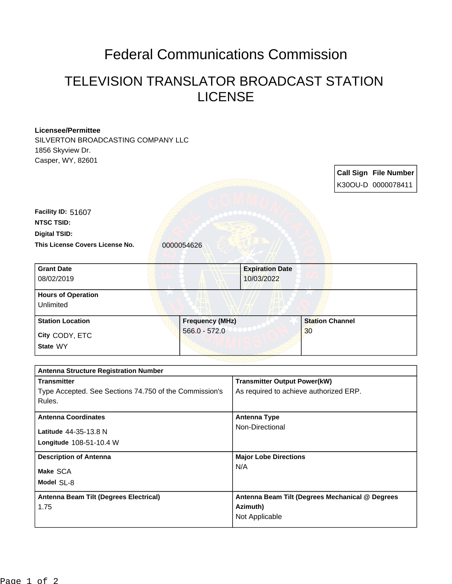## Federal Communications Commission

## TELEVISION TRANSLATOR BROADCAST STATION LICENSE

| <b>Licensee/Permittee</b>                              |                        |                                                 |                        |  |                       |
|--------------------------------------------------------|------------------------|-------------------------------------------------|------------------------|--|-----------------------|
| SILVERTON BROADCASTING COMPANY LLC                     |                        |                                                 |                        |  |                       |
| 1856 Skyview Dr.                                       |                        |                                                 |                        |  |                       |
| Casper, WY, 82601                                      |                        |                                                 |                        |  |                       |
|                                                        |                        |                                                 |                        |  | Call Sign File Number |
|                                                        |                        |                                                 |                        |  | K30OU-D 0000078411    |
|                                                        |                        |                                                 |                        |  |                       |
| Facility ID: 51607                                     |                        |                                                 |                        |  |                       |
| <b>NTSC TSID:</b>                                      |                        |                                                 |                        |  |                       |
| <b>Digital TSID:</b>                                   |                        |                                                 |                        |  |                       |
| This License Covers License No.                        | 0000054626             |                                                 |                        |  |                       |
|                                                        |                        |                                                 |                        |  |                       |
| <b>Grant Date</b>                                      |                        | <b>Expiration Date</b>                          |                        |  |                       |
| 08/02/2019                                             |                        | 10/03/2022                                      |                        |  |                       |
| <b>Hours of Operation</b>                              |                        |                                                 |                        |  |                       |
| Unlimited                                              |                        |                                                 |                        |  |                       |
| <b>Station Location</b>                                | <b>Frequency (MHz)</b> |                                                 | <b>Station Channel</b> |  |                       |
| City CODY, ETC                                         | $566.0 - 572.0$        |                                                 | 30                     |  |                       |
| State WY                                               |                        |                                                 |                        |  |                       |
|                                                        |                        |                                                 |                        |  |                       |
| <b>Antenna Structure Registration Number</b>           |                        |                                                 |                        |  |                       |
| <b>Transmitter</b>                                     |                        | <b>Transmitter Output Power(kW)</b>             |                        |  |                       |
| Type Accepted. See Sections 74.750 of the Commission's |                        | As required to achieve authorized ERP.          |                        |  |                       |
| Rules.                                                 |                        |                                                 |                        |  |                       |
| <b>Antenna Coordinates</b>                             |                        | <b>Antenna Type</b>                             |                        |  |                       |
| Latitude 44-35-13.8 N                                  |                        | Non-Directional                                 |                        |  |                       |
| Longitude 108-51-10.4 W                                |                        |                                                 |                        |  |                       |
|                                                        |                        |                                                 |                        |  |                       |
| <b>Description of Antenna</b>                          |                        | <b>Major Lobe Directions</b><br>N/A             |                        |  |                       |
| Make SCA                                               |                        |                                                 |                        |  |                       |
| Model SL-8                                             |                        |                                                 |                        |  |                       |
| Antenna Beam Tilt (Degrees Electrical)                 |                        | Antenna Beam Tilt (Degrees Mechanical @ Degrees |                        |  |                       |
| 1.75                                                   |                        | Azimuth)                                        |                        |  |                       |
|                                                        |                        | Not Applicable                                  |                        |  |                       |